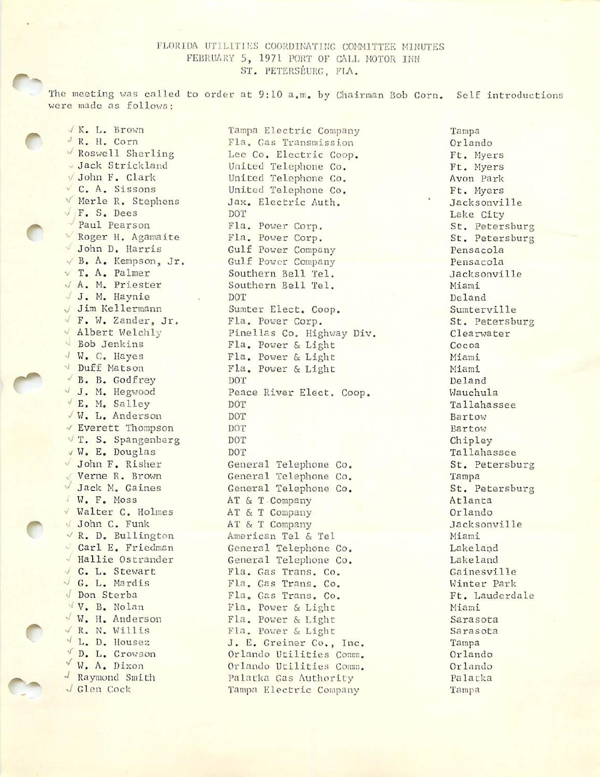## FLORIDA UTILITIES COORDINATING COMMITTEE MINUTES FEBRUARY 5, 1971 PORT OF CALL MOTOR INN ST. PETERSBURG, FLA.

The meeting was called to order at 9:10 a.m. by Chairman Bob Corn. Self introductions were made as follows:

■I K, L. Brown J R. H. Corn Roswell Sherling . Jack Strickland ■y John F. Clark C. A. Sissons V Merle R. Stephens •/ F. S. Dees ' Paul Pearson ^ Roger H, Agamaite ' John D. Harris •/ B. A. Kempson, Jr. V T. A. Palmer v/ A, M. Priester / J. M, Haynie V/ Jim Kellerraann ■' F. W. Zander, Jr. Albert Welchly ■ Bob Jenkins ■I W. C. Hayes ' Duff Matson •' B. B. Godfrey •' J. M. Hegwood E. M. Salley V W. L. Anderson v Everett Thompson V T. S. Spangenberg •I W. E. Douglas John F. Risher Verne R. Brown ^ Jack M. Gaines • W. F. Moss ■' Walter C. Holmes <sup>&</sup>gt; John C. Funk  $\vee$  R. D. Bullington Carl E. Friedman ' Hallie Ostrander ! C. L. Stewart G. L. Mardis ■i Don Sterba V. B. Nolan ^ W. H. Anderson ■J R. N. Willis L. D. Housez ^ D. L. Crowson ^ W. A. Dixon Raymond Smith J Glen Cock

r-

 $\overline{C}$ 

Tampa Electric Company Fla. Gas Transmission Lee Co. Electric Coop. United Telephone Co. United Telephone Co. United Telephone Co, Jax. Electric Auth. DOT Fla, Power Corp. Fla. Power Corp. Gulf Power Company Gulf Power Company Southern Bell Tel, Southern Bell Tel. DOT Sumter Elect. Coop. Fla. Power Corp. Pinellas Co. Highway Div. Fla. Power & Light Fla. Power & Light Fla. Power & Light DOT Peace River Elect. Coop. DOT DOT DOT DOT DOT General Telephone Co. General Telephone Co. General Telephone Co, AT & T Company AT & T Company AT & T Company American Tel & Tel General Telephone Co. General Telephone Co. Fla. Gas Trans. Co. Fla. Gas Trans. Co. Fla. Gas Trans. Co. Fla. Power & Light Fla. Power & Light Fla. Power & Light J. E, Greiner Co., Inc. Orlando Utilities Comm. Orlando Utilities Comm. Palatka Gas Authority Tampa Electric Company

Tampa Orlando Ft. Myers Ft. Myers Avon Park Ft. Myers Jacksonville Lake City St. Petersburg St. Petersburg Pensacola Pensacola Jacksonville Miami Deland Sumterville St. Petersburg Clearwater Cocoa Miami Miami Deland Wauchula Tallahassee Bartow Bartow Chipley Tallahassee St. Petersburg Tampa St. Petersburg Atlanta Orlando Jacksonville Miami Lakeland Lakeland Gainesville Winter Park Ft. Lauderdale Miami Sarasota Sarasota Tampa Orlando Orlando Palatka Tampa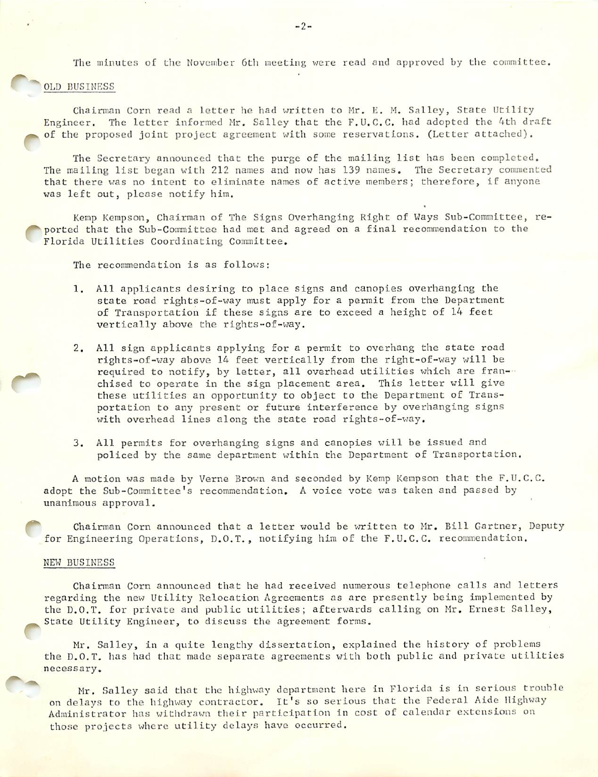The minutes of the November 6th meeting were read and approved by the committee.

## r- OLD BUSINESS

Chairman Corn read a letter he had written to Mr. E. M. Salley, State Utility Engineer. The letter informed Mr. Salley that the F.U.C.C. had adopted the Ath draft of the proposed joint project agreement with some reservations. (Letter attached).

The Secretary announced that the purge of the mailing list has been completed. The mailing list began with 212 names and now has 139 names. The Secretary commented that there was no intent to eliminate names of active members; therefore, if anyone was left out, please notify him.

Kemp Kempson, Chairman of The Signs Overhanging Right of Ways Sub-Committee, re- 'ported that the Sub-Committee had met and agreed on a final recommendation to the Florida Utilities Coordinating Committee.

The recommendation is as follows:

- 1. All applicants desiring to place signs and canopies overhanging the state road rights-of-way must apply for a permit from the Department of Transportation if these signs are to exceed a height of 14 feet vertically above the rights-of-way.
- 2. All sign applicants applying for a permit to overhang the state road rights-of-way above lA feet vertically from the right-of-way will be required to notify, by letter, all overhead utilities which are franchised to operate in the sign placement area. This letter will give these utilities an opportunity to object to the Department of Trans portation to any present or future interference by overhanging signs with overhead lines along the state road rights-of-way.
- 3. All pemits for overhanging signs and canopies will be issued and policed by the same department within the Department of Transportation.

A motion was made by Verne Brown and seconded by Kemp Kempson that the F.U.C.C. adopt the Sub-Committee's recommendation. A voice vote was taken and passed by unanimous approval.

Chairman Corn announced that a letter would be written to Mr. Bill Gartner, Deputy for Engineering Operations, D.O.T., notifying him of the F.U.C.C. recommendation.

## NEW BUSINESS

Chairman Corn announced that he had received numerous telephone calls and letters regarding the new Utility Relocation Agreements as are presently being implemented by the D.O.T. for private and public utilities; afterwards calling on Mr. Ernest Salley, State Utility Engineer, to discuss the agreement forms.

Mr. Salley, in a quite lengthy dissertation, explained the history of problems the D.O.T. has had that made separate agreements with both public and private utilities necessary.

Mr. Salley said that the highway department here in Florida is in serious trouble on delays to the highway contractor. It's so serious that the Federal Aide Highway Administrator has witlidrawn their participation in cost of calendar extensions on those projects where utility delays have occurred.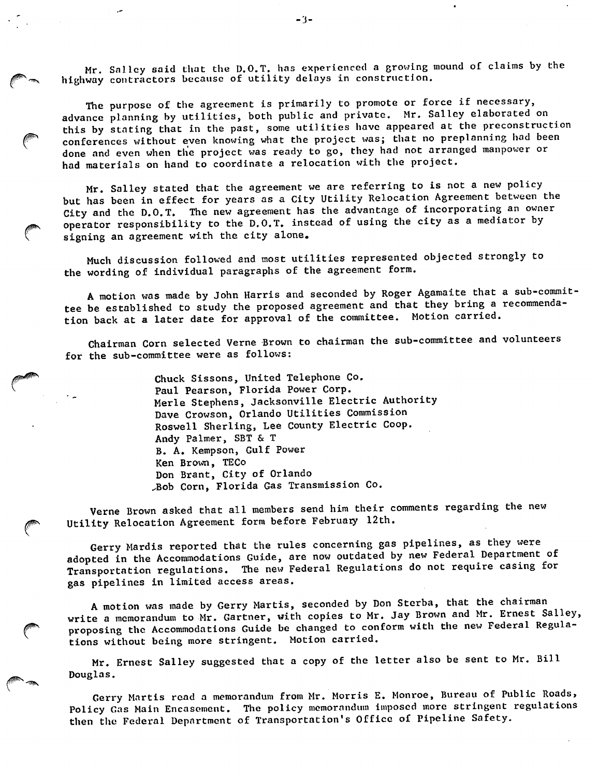Mr. Salley said that the D.O.T. has experienced a growing mound of claims by the highway contractors because of utility delays in construction.

The purpose of the agreement is primarily to promote or force if necessary, advance planning by utilities, both public and private. Mr. Salley elaborated on this by stating that in the past, some utilities have appeared at the preconstruction conferences without even knowing what the project was; that no preplanning had been done and even when the project was ready to go, they had not arranged manpower or had materials on hand to coordinate a relocation with the project.

Mr. Salley stated that the agreement we are referring to is not a new policy but has been in effect for years as a City Utility Relocation Agreement between the City and the D.O.T. The new agreement has the advantage of incorporating an owner operator responsibility to the D.O.T, instead of using the city as a mediator by signing an agreement with the city alone.

Much discussion followed and most utilities represented objected strongly to the wording of individual paragraphs of the agreement form.

A motion was made by John Harris and seconded by Roger Agamaite that a sub-commit tee be established to study the proposed agreement and that they bring a recommenda tion back at a later date for approval of the committee. Motion carried.

Chairman Corn selected Verne Brown to chairman the sub-committee and volunteers for the sub-committee were as follows:

> Chuck Sissons, United Telephone Co. Paul Pearson, Florida Power Corp. Merle Stephens, Jacksonville Electric Authority Dave Crowson, Orlando Utilities Commission Roswell Sherling, Lee County Electric Coop. Andy Palmer, SBT & T B. A. Kempson, Gulf Power Ken Brom, TECo Don Brant, City of Orlando Aob Corn, Florida Gas Transmission Co.

Verne Brown asked that all members send him their comments regarding the new Utility Relocation Agreement form before February 12th.

Gerry Mardis reported that the rules concerning gas pipelines, as they were adopted in the Accommodations Guide, are now outdated by new Federal Department of Transportation regulations. The new Federal Regulations do not require casing for gas pipelines in limited access areas.

A motion was made by Gerry Martis, seconded by Don Sterba, that the chairman write a memorandum to Mr. Gartner, with copies to Mr. Jay Brown and Mr. Ernest Salley, proposing the Accommodations Guide be changed to conform with the new Federal Regulations without being more stringent. Motion carried.

Mr. Ernest Salley suggested that a copy of the letter also be sent to Mr. Bill Douglas.

Gerry Martis read a memorandum from Mr. Morris E. Monroe, Bureau of Public Roads, Policy Gas Main Encasement. The policy memorandum Imposed more stringent regulations then the Federal Department of Transportation's Office of Pipeline Safety.